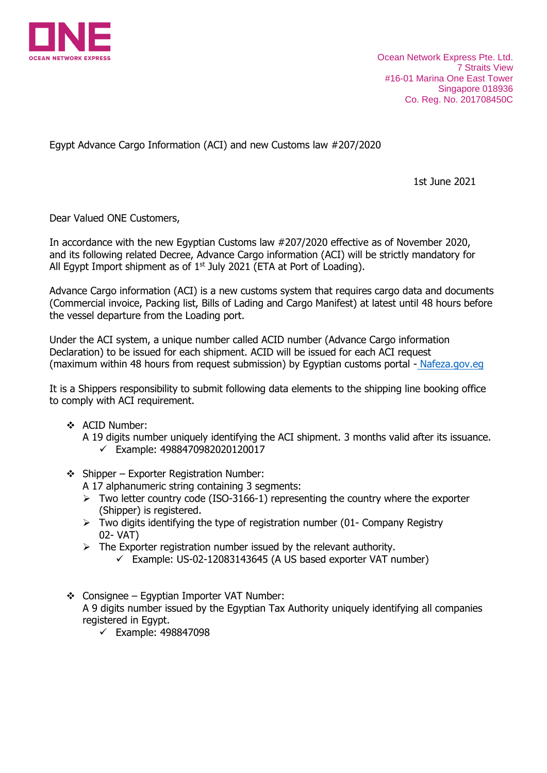

Ocean Network Express Pte. Ltd. 7 Straits View #16-01 Marina One East Tower Singapore 018936 Co. Reg. No. 201708450C

Egypt Advance Cargo Information (ACI) and new Customs law #207/2020

1st June 2021

Dear Valued ONE Customers,

In accordance with the new Egyptian Customs law #207/2020 effective as of November 2020, and its following related Decree, Advance Cargo information (ACI) will be strictly mandatory for All Egypt Import shipment as of  $1<sup>st</sup>$  July 2021 (ETA at Port of Loading).

Advance Cargo information (ACI) is a new customs system that requires cargo data and documents (Commercial invoice, Packing list, Bills of Lading and Cargo Manifest) at latest until 48 hours before the vessel departure from the Loading port.

Under the ACI system, a unique number called ACID number (Advance Cargo information Declaration) to be issued for each shipment. ACID will be issued for each ACI request (maximum within 48 hours from request submission) by Egyptian customs portal - [Nafeza.gov.eg](https://www.nafeza.gov.eg/en/site/aci-details)

It is a Shippers responsibility to submit following data elements to the shipping line booking office to comply with ACI requirement.

- ❖ ACID Number:
	- A 19 digits number uniquely identifying the ACI shipment. 3 months valid after its issuance. ✓ Example: 4988470982020120017
- $\div$  Shipper Exporter Registration Number:

A 17 alphanumeric string containing 3 segments:

- $\triangleright$  Two letter country code (ISO-3166-1) representing the country where the exporter (Shipper) is registered.
- $\triangleright$  Two digits identifying the type of registration number (01- Company Registry 02- VAT)
- $\triangleright$  The Exporter registration number issued by the relevant authority.
	- $\checkmark$  Example: US-02-12083143645 (A US based exporter VAT number)
- ❖ Consignee Egyptian Importer VAT Number: A 9 digits number issued by the Egyptian Tax Authority uniquely identifying all companies registered in Egypt.
	- ✓ Example: 498847098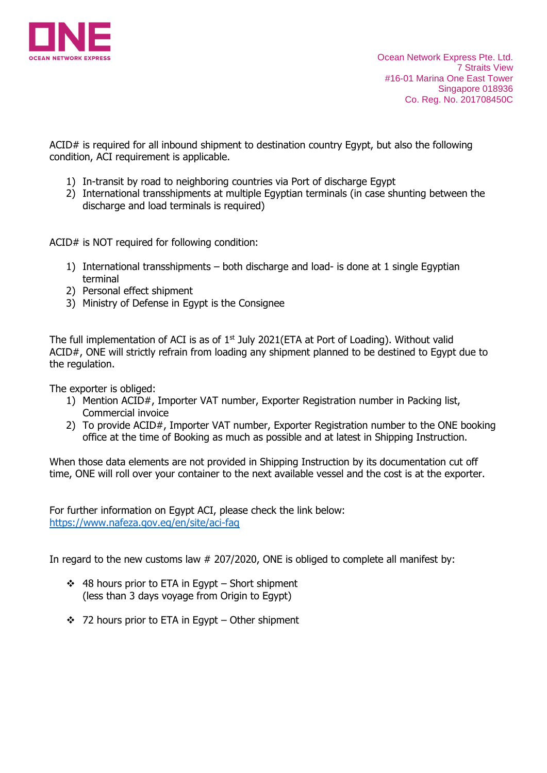

ACID# is required for all inbound shipment to destination country Egypt, but also the following condition, ACI requirement is applicable.

- 1) In-transit by road to neighboring countries via Port of discharge Egypt
- 2) International transshipments at multiple Egyptian terminals (in case shunting between the discharge and load terminals is required)

ACID# is NOT required for following condition:

- 1) International transshipments both discharge and load- is done at 1 single Egyptian terminal
- 2) Personal effect shipment
- 3) Ministry of Defense in Egypt is the Consignee

The full implementation of ACI is as of  $1<sup>st</sup>$  July 2021(ETA at Port of Loading). Without valid ACID#, ONE will strictly refrain from loading any shipment planned to be destined to Egypt due to the regulation.

The exporter is obliged:

- 1) Mention ACID#, Importer VAT number, Exporter Registration number in Packing list, Commercial invoice
- 2) To provide ACID#, Importer VAT number, Exporter Registration number to the ONE booking office at the time of Booking as much as possible and at latest in Shipping Instruction.

When those data elements are not provided in Shipping Instruction by its documentation cut off time, ONE will roll over your container to the next available vessel and the cost is at the exporter.

For further information on Egypt ACI, please check the link below: <https://www.nafeza.gov.eg/en/site/aci-faq>

In regard to the new customs law # 207/2020, ONE is obliged to complete all manifest by:

- ❖ 48 hours prior to ETA in Egypt Short shipment (less than 3 days voyage from Origin to Egypt)
- ❖ 72 hours prior to ETA in Egypt Other shipment